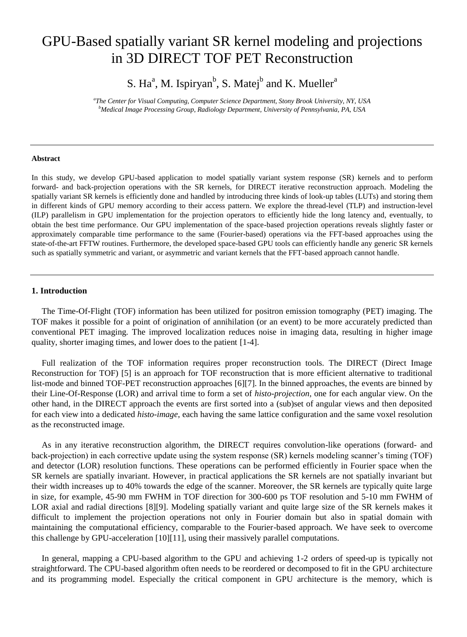# GPU-Based spatially variant SR kernel modeling and projections in 3D DIRECT TOF PET Reconstruction

S. Ha<sup>a</sup>, M. Ispiryan<sup>b</sup>, S. Matej<sup>b</sup> and K. Mueller<sup>a</sup>

*a The Center for Visual Computing, Computer Science Department, Stony Brook University, NY, USA <sup>b</sup>Medical Image Processing Group, Radiology Department, University of Pennsylvania, PA, USA*

#### **Abstract**

In this study, we develop GPU-based application to model spatially variant system response (SR) kernels and to perform forward- and back-projection operations with the SR kernels, for DIRECT iterative reconstruction approach. Modeling the spatially variant SR kernels is efficiently done and handled by introducing three kinds of look-up tables (LUTs) and storing them in different kinds of GPU memory according to their access pattern. We explore the thread-level (TLP) and instruction-level (ILP) parallelism in GPU implementation for the projection operators to efficiently hide the long latency and, eventually, to obtain the best time performance. Our GPU implementation of the space-based projection operations reveals slightly faster or approximately comparable time performance to the same (Fourier-based) operations via the FFT-based approaches using the state-of-the-art FFTW routines. Furthermore, the developed space-based GPU tools can efficiently handle any generic SR kernels such as spatially symmetric and variant, or asymmetric and variant kernels that the FFT-based approach cannot handle.

# **1. Introduction**

The Time-Of-Flight (TOF) information has been utilized for positron emission tomography (PET) imaging. The TOF makes it possible for a point of origination of annihilation (or an event) to be more accurately predicted than conventional PET imaging. The improved localization reduces noise in imaging data, resulting in higher image quality, shorter imaging times, and lower does to the patient [1-4].

Full realization of the TOF information requires proper reconstruction tools. The DIRECT (Direct Image Reconstruction for TOF) [5] is an approach for TOF reconstruction that is more efficient alternative to traditional list-mode and binned TOF-PET reconstruction approaches [6][7]. In the binned approaches, the events are binned by their Line-Of-Response (LOR) and arrival time to form a set of *histo-projection*, one for each angular view. On the other hand, in the DIRECT approach the events are first sorted into a (sub)set of angular views and then deposited for each view into a dedicated *histo-image*, each having the same lattice configuration and the same voxel resolution as the reconstructed image.

As in any iterative reconstruction algorithm, the DIRECT requires convolution-like operations (forward- and back-projection) in each corrective update using the system response (SR) kernels modeling scanner's timing (TOF) and detector (LOR) resolution functions. These operations can be performed efficiently in Fourier space when the SR kernels are spatially invariant. However, in practical applications the SR kernels are not spatially invariant but their width increases up to 40% towards the edge of the scanner. Moreover, the SR kernels are typically quite large in size, for example, 45-90 mm FWHM in TOF direction for 300-600 ps TOF resolution and 5-10 mm FWHM of LOR axial and radial directions [8][9]. Modeling spatially variant and quite large size of the SR kernels makes it difficult to implement the projection operations not only in Fourier domain but also in spatial domain with maintaining the computational efficiency, comparable to the Fourier-based approach. We have seek to overcome this challenge by GPU-acceleration [10][11], using their massively parallel computations.

In general, mapping a CPU-based algorithm to the GPU and achieving 1-2 orders of speed-up is typically not straightforward. The CPU-based algorithm often needs to be reordered or decomposed to fit in the GPU architecture and its programming model. Especially the critical component in GPU architecture is the memory, which is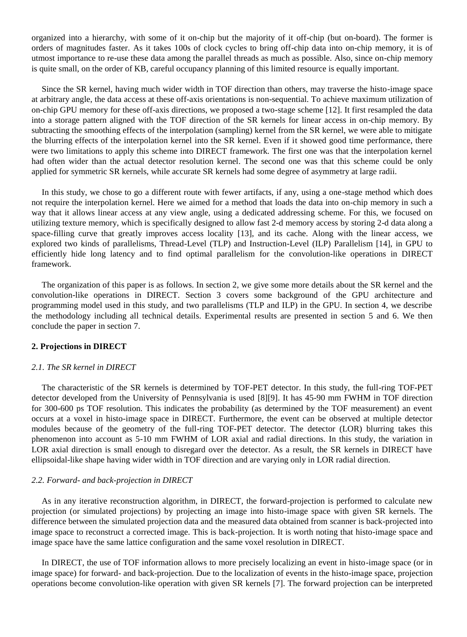organized into a hierarchy, with some of it on-chip but the majority of it off-chip (but on-board). The former is orders of magnitudes faster. As it takes 100s of clock cycles to bring off-chip data into on-chip memory, it is of utmost importance to re-use these data among the parallel threads as much as possible. Also, since on-chip memory is quite small, on the order of KB, careful occupancy planning of this limited resource is equally important.

Since the SR kernel, having much wider width in TOF direction than others, may traverse the histo-image space at arbitrary angle, the data access at these off-axis orientations is non-sequential. To achieve maximum utilization of on-chip GPU memory for these off-axis directions, we proposed a two-stage scheme [12]. It first resampled the data into a storage pattern aligned with the TOF direction of the SR kernels for linear access in on-chip memory. By subtracting the smoothing effects of the interpolation (sampling) kernel from the SR kernel, we were able to mitigate the blurring effects of the interpolation kernel into the SR kernel. Even if it showed good time performance, there were two limitations to apply this scheme into DIRECT framework. The first one was that the interpolation kernel had often wider than the actual detector resolution kernel. The second one was that this scheme could be only applied for symmetric SR kernels, while accurate SR kernels had some degree of asymmetry at large radii.

In this study, we chose to go a different route with fewer artifacts, if any, using a one-stage method which does not require the interpolation kernel. Here we aimed for a method that loads the data into on-chip memory in such a way that it allows linear access at any view angle, using a dedicated addressing scheme. For this, we focused on utilizing texture memory, which is specifically designed to allow fast 2-d memory access by storing 2-d data along a space-filling curve that greatly improves access locality [13], and its cache. Along with the linear access, we explored two kinds of parallelisms, Thread-Level (TLP) and Instruction-Level (ILP) Parallelism [14], in GPU to efficiently hide long latency and to find optimal parallelism for the convolution-like operations in DIRECT framework.

The organization of this paper is as follows. In section 2, we give some more details about the SR kernel and the convolution-like operations in DIRECT. Section 3 covers some background of the GPU architecture and programming model used in this study, and two parallelisms (TLP and ILP) in the GPU. In section 4, we describe the methodology including all technical details. Experimental results are presented in section 5 and 6. We then conclude the paper in section 7.

# **2. Projections in DIRECT**

# *2.1. The SR kernel in DIRECT*

The characteristic of the SR kernels is determined by TOF-PET detector. In this study, the full-ring TOF-PET detector developed from the University of Pennsylvania is used [8][9]. It has 45-90 mm FWHM in TOF direction for 300-600 ps TOF resolution. This indicates the probability (as determined by the TOF measurement) an event occurs at a voxel in histo-image space in DIRECT. Furthermore, the event can be observed at multiple detector modules because of the geometry of the full-ring TOF-PET detector. The detector (LOR) blurring takes this phenomenon into account as 5-10 mm FWHM of LOR axial and radial directions. In this study, the variation in LOR axial direction is small enough to disregard over the detector. As a result, the SR kernels in DIRECT have ellipsoidal-like shape having wider width in TOF direction and are varying only in LOR radial direction.

#### *2.2. Forward- and back-projection in DIRECT*

As in any iterative reconstruction algorithm, in DIRECT, the forward-projection is performed to calculate new projection (or simulated projections) by projecting an image into histo-image space with given SR kernels. The difference between the simulated projection data and the measured data obtained from scanner is back-projected into image space to reconstruct a corrected image. This is back-projection. It is worth noting that histo-image space and image space have the same lattice configuration and the same voxel resolution in DIRECT.

In DIRECT, the use of TOF information allows to more precisely localizing an event in histo-image space (or in image space) for forward- and back-projection. Due to the localization of events in the histo-image space, projection operations become convolution-like operation with given SR kernels [7]. The forward projection can be interpreted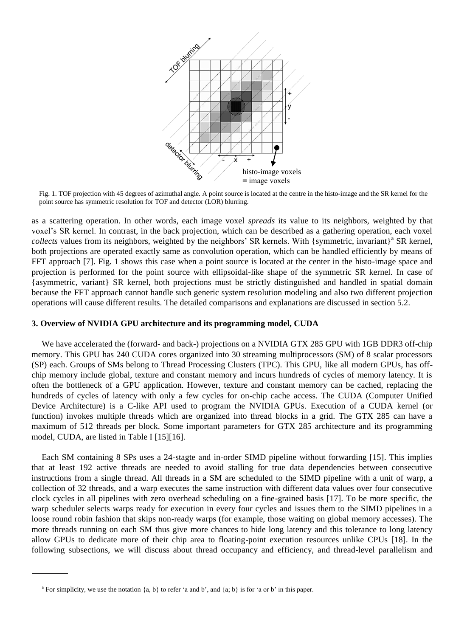

Fig. 1. TOF projection with 45 degrees of azimuthal angle. A point source is located at the centre in the histo-image and the SR kernel for the point source has symmetric resolution for TOF and detector (LOR) blurring.

as a scattering operation. In other words, each image voxel *spreads* its value to its neighbors, weighted by that voxel's SR kernel. In contrast, in the back projection, which can be described as a gathering operation, each voxel collects values from its neighbors, weighted by the neighbors' SR kernels. With {symmetric, invariant}<sup>a</sup> SR kernel, both projections are operated exactly same as convolution operation, which can be handled efficiently by means of FFT approach [7]. Fig. 1 shows this case when a point source is located at the center in the histo-image space and projection is performed for the point source with ellipsoidal-like shape of the symmetric SR kernel. In case of {asymmetric, variant} SR kernel, both projections must be strictly distinguished and handled in spatial domain because the FFT approach cannot handle such generic system resolution modeling and also two different projection operations will cause different results. The detailed comparisons and explanations are discussed in section 5.2.

# **3. Overview of NVIDIA GPU architecture and its programming model, CUDA**

We have accelerated the (forward- and back-) projections on a NVIDIA GTX 285 GPU with 1GB DDR3 off-chip memory. This GPU has 240 CUDA cores organized into 30 streaming multiprocessors (SM) of 8 scalar processors (SP) each. Groups of SMs belong to Thread Processing Clusters (TPC). This GPU, like all modern GPUs, has offchip memory include global, texture and constant memory and incurs hundreds of cycles of memory latency. It is often the bottleneck of a GPU application. However, texture and constant memory can be cached, replacing the hundreds of cycles of latency with only a few cycles for on-chip cache access. The CUDA (Computer Unified Device Architecture) is a C-like API used to program the NVIDIA GPUs. Execution of a CUDA kernel (or function) invokes multiple threads which are organized into thread blocks in a grid. The GTX 285 can have a maximum of 512 threads per block. Some important parameters for GTX 285 architecture and its programming model, CUDA, are listed in Table I [15][16].

Each SM containing 8 SPs uses a 24-stagte and in-order SIMD pipeline without forwarding [15]. This implies that at least 192 active threads are needed to avoid stalling for true data dependencies between consecutive instructions from a single thread. All threads in a SM are scheduled to the SIMD pipeline with a unit of warp, a collection of 32 threads, and a warp executes the same instruction with different data values over four consecutive clock cycles in all pipelines with zero overhead scheduling on a fine-grained basis [17]. To be more specific, the warp scheduler selects warps ready for execution in every four cycles and issues them to the SIMD pipelines in a loose round robin fashion that skips non-ready warps (for example, those waiting on global memory accesses). The more threads running on each SM thus give more chances to hide long latency and this tolerance to long latency allow GPUs to dedicate more of their chip area to floating-point execution resources unlike CPUs [18]. In the following subsections, we will discuss about thread occupancy and efficiency, and thread-level parallelism and

<sup>&</sup>lt;sup>a</sup> For simplicity, we use the notation  $\{a, b\}$  to refer 'a and b', and  $\{a, b\}$  is for 'a or b' in this paper.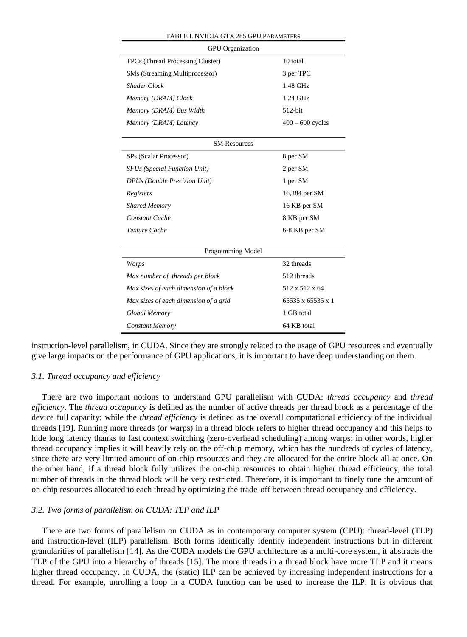| <b>GPU</b> Organization                |                    |  |  |  |  |  |
|----------------------------------------|--------------------|--|--|--|--|--|
| TPCs (Thread Processing Cluster)       | 10 total           |  |  |  |  |  |
| SMs (Streaming Multiprocessor)         | 3 per TPC          |  |  |  |  |  |
| <b>Shader Clock</b>                    | 1.48 GHz           |  |  |  |  |  |
| Memory (DRAM) Clock                    | $1.24$ GHz         |  |  |  |  |  |
| Memory (DRAM) Bus Width                | $512$ -bit         |  |  |  |  |  |
| Memory (DRAM) Latency                  | $400 - 600$ cycles |  |  |  |  |  |
| <b>SM Resources</b>                    |                    |  |  |  |  |  |
| SPs (Scalar Processor)                 | 8 per SM           |  |  |  |  |  |
| <b>SFUs (Special Function Unit)</b>    | 2 per SM           |  |  |  |  |  |
| DPUs (Double Precision Unit)           | 1 per SM           |  |  |  |  |  |
| Registers                              | 16,384 per SM      |  |  |  |  |  |
| <b>Shared Memory</b>                   | 16 KB per SM       |  |  |  |  |  |
| <b>Constant Cache</b>                  | 8 KB per SM        |  |  |  |  |  |
| Texture Cache                          | 6-8 KB per SM      |  |  |  |  |  |
| Programming Model                      |                    |  |  |  |  |  |
| Warps                                  | 32 threads         |  |  |  |  |  |
| Max number of threads per block        | 512 threads        |  |  |  |  |  |
| Max sizes of each dimension of a block | 512 x 512 x 64     |  |  |  |  |  |
| Max sizes of each dimension of a grid  | 65535 x 65535 x 1  |  |  |  |  |  |
| Global Memory                          | 1 GB total         |  |  |  |  |  |
| <b>Constant Memory</b>                 | 64 KB total        |  |  |  |  |  |

#### TABLE I. NVIDIA GTX 285 GPU PARAMETERS

instruction-level parallelism, in CUDA. Since they are strongly related to the usage of GPU resources and eventually give large impacts on the performance of GPU applications, it is important to have deep understanding on them.

# *3.1. Thread occupancy and efficiency*

There are two important notions to understand GPU parallelism with CUDA: *thread occupancy* and *thread efficiency*. The *thread occupancy* is defined as the number of active threads per thread block as a percentage of the device full capacity; while the *thread efficiency* is defined as the overall computational efficiency of the individual threads [19]. Running more threads (or warps) in a thread block refers to higher thread occupancy and this helps to hide long latency thanks to fast context switching (zero-overhead scheduling) among warps; in other words, higher thread occupancy implies it will heavily rely on the off-chip memory, which has the hundreds of cycles of latency, since there are very limited amount of on-chip resources and they are allocated for the entire block all at once. On the other hand, if a thread block fully utilizes the on-chip resources to obtain higher thread efficiency, the total number of threads in the thread block will be very restricted. Therefore, it is important to finely tune the amount of on-chip resources allocated to each thread by optimizing the trade-off between thread occupancy and efficiency.

# *3.2. Two forms of parallelism on CUDA: TLP and ILP*

There are two forms of parallelism on CUDA as in contemporary computer system (CPU): thread-level (TLP) and instruction-level (ILP) parallelism. Both forms identically identify independent instructions but in different granularities of parallelism [14]. As the CUDA models the GPU architecture as a multi-core system, it abstracts the TLP of the GPU into a hierarchy of threads [15]. The more threads in a thread block have more TLP and it means higher thread occupancy. In CUDA, the (static) ILP can be achieved by increasing independent instructions for a thread. For example, unrolling a loop in a CUDA function can be used to increase the ILP. It is obvious that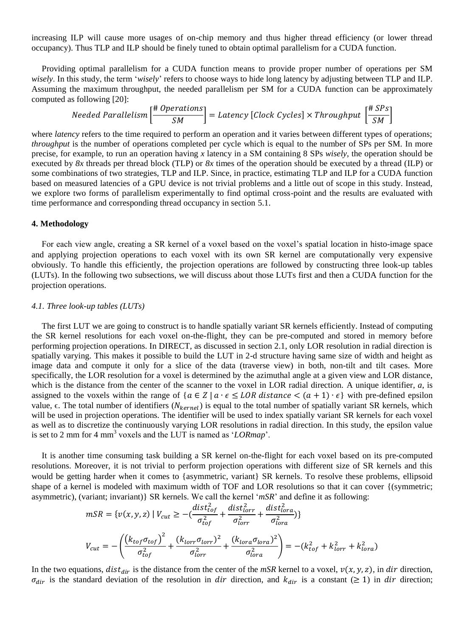increasing ILP will cause more usages of on-chip memory and thus higher thread efficiency (or lower thread occupancy). Thus TLP and ILP should be finely tuned to obtain optimal parallelism for a CUDA function.

Providing optimal parallelism for a CUDA function means to provide proper number of operations per SM *wisely*. In this study, the term '*wisely*' refers to choose ways to hide long latency by adjusting between TLP and ILP. Assuming the maximum throughput, the needed parallelism per SM for a CUDA function can be approximately computed as following [20]:

Needed Parallelism 
$$
\left[\frac{\text{\# Operations}}{\text{SM}}\right]
$$
 = Latency [Clock Cycles] × Throughput  $\left[\frac{\text{\# SPs}}{\text{SM}}\right]$ 

where *latency* refers to the time required to perform an operation and it varies between different types of operations; *throughput* is the number of operations completed per cycle which is equal to the number of SPs per SM. In more precise, for example, to run an operation having *x* latency in a SM containing 8 SPs *wisely*, the operation should be executed by *8x* threads per thread block (TLP) or *8x* times of the operation should be executed by a thread (ILP) or some combinations of two strategies, TLP and ILP. Since, in practice, estimating TLP and ILP for a CUDA function based on measured latencies of a GPU device is not trivial problems and a little out of scope in this study. Instead, we explore two forms of parallelism experimentally to find optimal cross-point and the results are evaluated with time performance and corresponding thread occupancy in section 5.1.

# **4. Methodology**

For each view angle, creating a SR kernel of a voxel based on the voxel's spatial location in histo-image space and applying projection operations to each voxel with its own SR kernel are computationally very expensive obviously. To handle this efficiently, the projection operations are followed by constructing three look-up tables (LUTs). In the following two subsections, we will discuss about those LUTs first and then a CUDA function for the projection operations.

# *4.1. Three look-up tables (LUTs)*

The first LUT we are going to construct is to handle spatially variant SR kernels efficiently. Instead of computing the SR kernel resolutions for each voxel on-the-flight, they can be pre-computed and stored in memory before performing projection operations. In DIRECT, as discussed in section 2.1, only LOR resolution in radial direction is spatially varying. This makes it possible to build the LUT in 2-d structure having same size of width and height as image data and compute it only for a slice of the data (traverse view) in both, non-tilt and tilt cases. More specifically, the LOR resolution for a voxel is determined by the azimuthal angle at a given view and LOR distance, which is the distance from the center of the scanner to the voxel in LOR radial direction. A unique identifier, *a*, is assigned to the voxels within the range of  ${ a \in Z \mid a \cdot \epsilon \leq LOR}$  distance  $\lt (a + 1) \cdot \epsilon }$  with pre-defined epsilon value,  $\epsilon$ . The total number of identifiers ( $N_{\text{kernel}}$ ) is equal to the total number of spatially variant SR kernels, which will be used in projection operations. The identifier will be used to index spatially variant SR kernels for each voxel as well as to discretize the continuously varying LOR resolutions in radial direction. In this study, the epsilon value is set to 2 mm for 4 mm<sup>3</sup> voxels and the LUT is named as ' $\mathcal{L}ORmap$ '.

It is another time consuming task building a SR kernel on-the-flight for each voxel based on its pre-computed resolutions. Moreover, it is not trivial to perform projection operations with different size of SR kernels and this would be getting harder when it comes to {asymmetric, variant} SR kernels. To resolve these problems, ellipsoid shape of a kernel is modeled with maximum width of TOF and LOR resolutions so that it can cover {(symmetric; asymmetric), (variant; invariant)} SR kernels. We call the kernel '*mSR*' and define it as following:

$$
mSR = \{v(x, y, z) \mid V_{cut} \ge -\left(\frac{dist_{tor}^2}{\sigma_{tor}^2} + \frac{dist_{tor}^2}{\sigma_{tor}^2} + \frac{dist_{tor}^2}{\sigma_{tor}^2}\right)\}
$$
  

$$
V_{cut} = -\left(\frac{\left(k_{tof}\sigma_{torf}\right)^2}{\sigma_{tot}^2} + \frac{\left(k_{torr}\sigma_{torr}\right)^2}{\sigma_{tor}^2} + \frac{\left(k_{tora}\sigma_{tora}\right)^2}{\sigma_{tor}^2}\right) = -(k_{tof}^2 + k_{torr}^2 + k_{tora}^2)
$$

In the two equations,  $dist_{dir}$  is the distance from the center of the  $mSR$  kernel to a voxel,  $v(x, y, z)$ , in dir direction,  $\sigma_{dir}$  is the standard deviation of the resolution in dir direction, and  $k_{dir}$  is a constant ( $\geq 1$ ) in dir direction;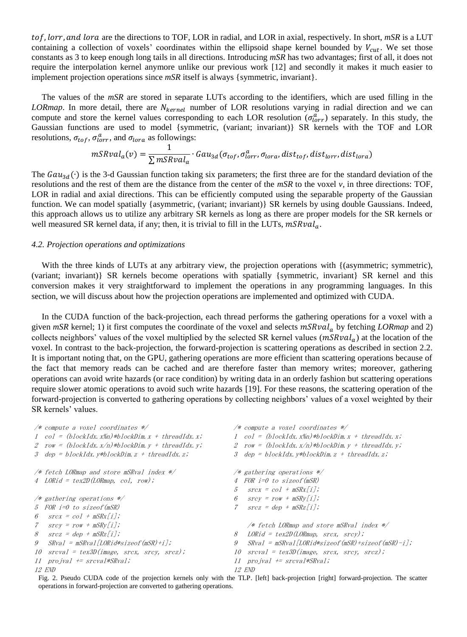tof, lorr, and lora are the directions to TOF, LOR in radial, and LOR in axial, respectively. In short,  $mSR$  is a LUT containing a collection of voxels' coordinates within the ellipsoid shape kernel bounded by  $V_{cut}$ . We set those constants as 3 to keep enough long tails in all directions. Introducing *mSR* has two advantages; first of all, it does not require the interpolation kernel anymore unlike our previous work [12] and secondly it makes it much easier to implement projection operations since *mSR* itself is always {symmetric, invariant}.

The values of the *mSR* are stored in separate LUTs according to the identifiers, which are used filling in the *LORmap*. In more detail, there are N<sub>kernel</sub> number of LOR resolutions varying in radial direction and we can compute and store the kernel values corresponding to each LOR resolution  $(\sigma_{lorr}^a)$  separately. In this study, the Gaussian functions are used to model {symmetric, (variant; invariant)} SR kernels with the TOF and LOR resolutions,  $\sigma_{tof}$ ,  $\sigma_{lorr}^a$ , and  $\sigma_{lora}$  as followings:

$$
mSRval_a(v) = \frac{1}{\sum mSRval_a} \cdot Gau_{3d}(\sigma_{tof}, \sigma_{lorr}^a, \sigma_{lora}, dist_{tof}, dist_{lorr}, dist_{lora})
$$

The  $Gau_{3d}(\cdot)$  is the 3-d Gaussian function taking six parameters; the first three are for the standard deviation of the resolutions and the rest of them are the distance from the center of the *mSR* to the voxel *v,* in three directions: TOF, LOR in radial and axial directions. This can be efficiently computed using the separable property of the Gaussian function. We can model spatially {asymmetric, (variant; invariant)} SR kernels by using double Gaussians. Indeed, this approach allows us to utilize any arbitrary SR kernels as long as there are proper models for the SR kernels or well measured SR kernel data, if any; then, it is trivial to fill in the LUTs,  $mSRval_a$ .

#### *4.2. Projection operations and optimizations*

With the three kinds of LUTs at any arbitrary view, the projection operations with  $\{$ (asymmetric; symmetric), (variant; invariant)} SR kernels become operations with spatially {symmetric, invariant} SR kernel and this conversion makes it very straightforward to implement the operations in any programming languages. In this section, we will discuss about how the projection operations are implemented and optimized with CUDA.

In the CUDA function of the back-projection, each thread performs the gathering operations for a voxel with a given  $mSR$  kernel; 1) it first computes the coordinate of the voxel and selects  $mSRval_a$  by fetching *LORmap* and 2) collects neighbors' values of the voxel multiplied by the selected SR kernel values  $(mSRval<sub>a</sub>)$  at the location of the voxel. In contrast to the back-projection, the forward-projection is scattering operations as described in section 2.2. It is important noting that, on the GPU, gathering operations are more efficient than scattering operations because of the fact that memory reads can be cached and are therefore faster than memory writes; moreover, gathering operations can avoid write hazards (or race condition) by writing data in an orderly fashion but scattering operations require slower atomic operations to avoid such write hazards [19]. For these reasons, the scattering operation of the forward-projection is converted to gathering operations by collecting neighbors' values of a voxel weighted by their SR kernels' values.

| $/*$ compute a voxel coordinates $*/$                                                                | $/*$ compute a voxel coordinates $*/$                                                                |
|------------------------------------------------------------------------------------------------------|------------------------------------------------------------------------------------------------------|
| 1 col = $(blockIdx, x\$ n) * blockDim x + threadIdx, x;                                              | 1 col = (blockIdx, x%n)*blockDim, $x + th$ readIdx, x;                                               |
| 2 row = $(blockIdx.x/n)*blockDim.y + threadIdx.y;$                                                   | 2 row = (blockIdx. $x/n$ )*blockDim. $y + threadIdx. y$ ;                                            |
| 3 dep = blockIdx. $y * b$ lockDim. $z + th$ readIdx. $z$ ;                                           | 3 dep = blockIdx. $v * b$ lockDim. $z + th$ readIdx. $z$ ;                                           |
| $/*$ fetch LORmap and store mSRval index $*/$                                                        | $/*$ gathering operations $*/$                                                                       |
| 4 LORid = $tex2D(LORmap, col, row)$ ;                                                                | 4 FOR $i=0$ to size of $(mSR)$                                                                       |
|                                                                                                      | $srcX = col + mSRX/i$ ;<br>$\mathcal{F}$                                                             |
| $/*$ gathering operations $*/$                                                                       | $srcy = row + mSRy/j;$                                                                               |
| 5 FOR i=0 to size of (mSR)                                                                           | $srcz = dep + mSRz[i];$                                                                              |
| 6 $srcx = col + mSRx[i];$                                                                            |                                                                                                      |
| 7 $srcv = row + mSRv[i];$                                                                            | $/*$ fetch LORmap and store mSRval index $*/$                                                        |
| $8$ $srcz = dep + mSRz[i];$                                                                          | $LORid = tex2D(LORmap, srcx, srcy);$<br>8                                                            |
| $SRval = mSRval/LORid*sizeof(mSR)+i];$<br>$\mathcal{G}$                                              | $SRval = mSRval/LORid*sizeof(mSR) + sizeof(mSR) -i$ ;<br>9                                           |
| 10 $\textit{spread} = \textit{tex3D}(\textit{image}, \textit{srcx}, \textit{srcy}, \textit{srcz})$ ; | 10 $\textit{sreval} = \textit{tex3D}(\textit{image}, \textit{srcx}, \textit{srcy}, \textit{srcz})$ ; |
| $11$ pro ival $\pm$ srcval $\ast$ SRval;                                                             | $11$ pro ival $\pm$ srcval $\ast$ SRval;                                                             |
| <i>12 END</i>                                                                                        | 12 END                                                                                               |

operations in forward-projection are converted to gathering operations. Fig. 2. Pseudo CUDA code of the projection kernels only with the TLP. [left] back-projection [right] forward-projection. The scatter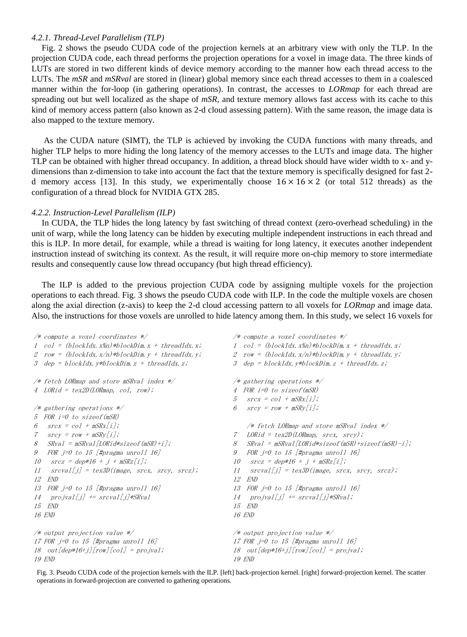# *4.2.1. Thread-Level Parallelism (TLP)*

Fig. 2 shows the pseudo CUDA code of the projection kernels at an arbitrary view with only the TLP. In the projection CUDA code, each thread performs the projection operations for a voxel in image data. The three kinds of LUTs are stored in two different kinds of device memory according to the manner how each thread access to the LUTs. The *mSR* and *mSRval* are stored in (linear) global memory since each thread accesses to them in a coalesced manner within the for-loop (in gathering operations). In contrast, the accesses to *LORmap* for each thread are spreading out but well localized as the shape of *mSR*, and texture memory allows fast access with its cache to this kind of memory access pattern (also known as 2-d cloud assessing pattern). With the same reason, the image data is also mapped to the texture memory.

As the CUDA nature (SIMT), the TLP is achieved by invoking the CUDA functions with many threads, and higher TLP helps to more hiding the long latency of the memory accesses to the LUTs and image data. The higher TLP can be obtained with higher thread occupancy. In addition, a thread block should have wider width to x- and ydimensions than z-dimension to take into account the fact that the texture memory is specifically designed for fast 2 d memory access [13]. In this study, we experimentally choose  $16 \times 16 \times 2$  (or total 512 threads) as the configuration of a thread block for NVIDIA GTX 285.

# *4.2.2. Instruction-Level Parallelism (ILP)*

In CUDA, the TLP hides the long latency by fast switching of thread context (zero-overhead scheduling) in the unit of warp, while the long latency can be hidden by executing multiple independent instructions in each thread and this is ILP. In more detail, for example, while a thread is waiting for long latency, it executes another independent instruction instead of switching its context. As the result, it will require more on-chip memory to store intermediate results and consequently cause low thread occupancy (but high thread efficiency).

The ILP is added to the previous projection CUDA code by assigning multiple voxels for the projection operations to each thread. Fig. 3 shows the pseudo CUDA code with ILP. In the code the multiple voxels are chosen along the axial direction (z-axis) to keep the 2-d cloud accessing pattern to all voxels for *LORmap* and image data. Also, the instructions for those voxels are unrolled to hide latency among them. In this study, we select 16 voxels for

| $\frac{1}{\sqrt{2}}$ compute a voxel coordinates $\frac{1}{\sqrt{2}}$  | $/*$ compute a voxel coordinates $*/$                        |
|------------------------------------------------------------------------|--------------------------------------------------------------|
| 1 col = $(blockIdx \cdot x\%) * blockDim \cdot x + threadIdx \cdot x;$ | $1 \quad col = (blockIdx. x\%n) * blockDim.x + threadIdx.x;$ |
| 2 row = $(blockIdx.x/n)*blockDim.y + threadIdx.y;$                     | 2 row = $(blockIdx.x/n)*blockDim.y + threadIdx.y;$           |
| 3 dep = $blockIdx. y * blockDim. z + threadIdx. z$ ;                   | 3 dep = blockIdx. $v * b$ lockDim. $z + th$ readIdx. $z$ ;   |
| /* fetch LORmap and store mSRval index */                              | $/*$ gathering operations $*/$                               |
| 4 LORid = $tex2D(LORmap, col, row)$ ;                                  | 4 FOR i=0 to sizeof(mSR)                                     |
|                                                                        | $srcX = col + mSRX[i];$<br>5                                 |
| $/*$ gathering operations $*/$                                         | 6<br>$srcy = row + mSRy/j;$                                  |
| 5 FOR i=0 to size of (mSR)                                             |                                                              |
| $srcX = col + mSRX[i];$<br>6                                           | $/*$ fetch LORmap and store mSRval index $*/$                |
| $srcv = row + mSRv[i];$<br>7                                           | $LORid = \text{text2D}(LORmap, srcX, srcy);$<br>7            |
| $SRval = mSRval/LORid*sizeof(mSR) + i$ ;<br>8                          | $SRval = mSRval [LORid*sizeof(mSR) + sizeof(mSR) -i];$<br>8  |
| FOR j=0 to 15 [#pragma unroll 16]<br>9                                 | FOR $j=0$ to 15 [#pragma unroll 16]<br>9                     |
| 10 $srcz = dep*16 + j + mSRz[i];$                                      | $srcz = dep*16 + j + mSRz[i];$<br>10                         |
| $sreval[j] = tex3D (image, srcx, srcy, srcz);$<br>11                   | $srcval[j] = tex3D (image, srcx, srcy, srcz);$<br>11         |
| 12 END                                                                 | 12<br>END                                                    |
| 13 FOR j=0 to 15 [#pragma unroll 16]                                   | 13 FOR j=0 to 15 [#pragma unroll 16]                         |
| $14 \quad projval[j] \neq srcval[j]*SRval$                             | $projval[j]$ += $sreval[j]*SRval;$<br>14                     |
| 15 END                                                                 | END<br>15                                                    |
| <i>16 END</i>                                                          | 16 END                                                       |
| $/*$ output projection value $*/$                                      | /* output projection value $*/$                              |
| 17 FOR $j=0$ to 15 [#pragma unroll 16]                                 | 17 FOR $j=0$ to 15 [#pragma unroll 16]                       |
| $18$ out[dep*16+j][row][col] = projval;                                | 18 $out[dep*16+j][row][col] = projval;$                      |
| <i>19 END</i>                                                          | <i>19 END</i>                                                |

Fig. 3. Pseudo CUDA code of the projection kernels with the ILP. [left] back-projection kernel. [right] forward-projection kernel. The scatter operations in forward-projection are converted to gathering operations.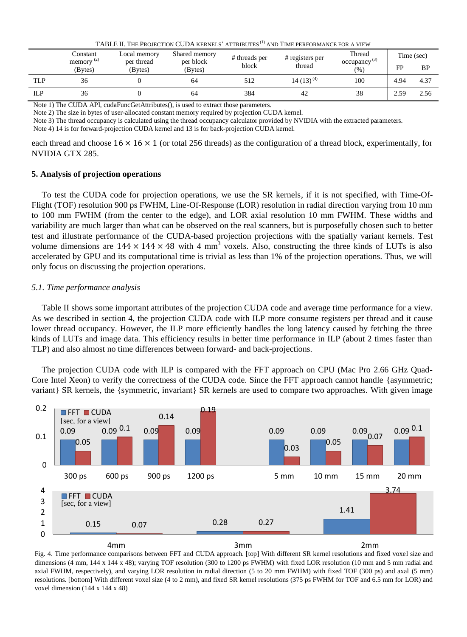|                         | Constant<br>Local memory |       | 171000 11. 1110 1 11000 1100 1 000 11 11000 111 11100 110<br>Shared memory<br>per block<br>(Bytes) | # threads per | AUD TIMETEN ONMARCETORA TIEM<br># registers per | Thread<br>occupancy <sup>(3)</sup><br>$(%^{6})$ | Time (sec) |      |
|-------------------------|--------------------------|-------|----------------------------------------------------------------------------------------------------|---------------|-------------------------------------------------|-------------------------------------------------|------------|------|
| memory $(2)$<br>(Bytes) | per thread<br>(Bytes)    | block |                                                                                                    | thread        | FP                                              |                                                 | <b>BP</b>  |      |
| TLP                     | 36                       |       | 64                                                                                                 | 512           | $14(13)^{(4)}$                                  | 100                                             | 4.94       | 4.37 |
| ILP                     | 36                       |       | 64                                                                                                 | 384           | 42                                              | 38                                              | 2.59       | 2.56 |

TABLE II. THE PROJECTION CUDA KERNELS' ATTRIBUTES (1) AND TIME PERFORMANCE FOR A VIEW

Note 1) The CUDA API, cudaFuncGetAttributes(), is used to extract those parameters.

Note 2) The size in bytes of user-allocated constant memory required by projection CUDA kernel.

Note 3) The thread occupancy is calculated using the thread occupancy calculator provided by NVIDIA with the extracted parameters.

Note 4) 14 is for forward-projection CUDA kernel and 13 is for back-projection CUDA kernel.

each thread and choose  $16 \times 16 \times 1$  (or total 256 threads) as the configuration of a thread block, experimentally, for NVIDIA GTX 285.

# **5. Analysis of projection operations**

To test the CUDA code for projection operations, we use the SR kernels, if it is not specified, with Time-Of-Flight (TOF) resolution 900 ps FWHM, Line-Of-Response (LOR) resolution in radial direction varying from 10 mm to 100 mm FWHM (from the center to the edge), and LOR axial resolution 10 mm FWHM. These widths and variability are much larger than what can be observed on the real scanners, but is purposefully chosen such to better test and illustrate performance of the CUDA-based projection projections with the spatially variant kernels. Test volume dimensions are  $144 \times 144 \times 48$  with 4 mm<sup>3</sup> voxels. Also, constructing the three kinds of LUTs is also accelerated by GPU and its computational time is trivial as less than 1% of the projection operations. Thus, we will only focus on discussing the projection operations.

# *5.1. Time performance analysis*

Table II shows some important attributes of the projection CUDA code and average time performance for a view. As we described in section 4, the projection CUDA code with ILP more consume registers per thread and it cause lower thread occupancy. However, the ILP more efficiently handles the long latency caused by fetching the three kinds of LUTs and image data. This efficiency results in better time performance in ILP (about 2 times faster than TLP) and also almost no time differences between forward- and back-projections.

The projection CUDA code with ILP is compared with the FFT approach on CPU (Mac Pro 2.66 GHz Quad-Core Intel Xeon) to verify the correctness of the CUDA code. Since the FFT approach cannot handle {asymmetric; variant} SR kernels, the {symmetric, invariant} SR kernels are used to compare two approaches. With given image



Fig. 4. Time performance comparisons between FFT and CUDA approach. [top] With different SR kernel resolutions and fixed voxel size and dimensions (4 mm, 144 x 144 x 48); varying TOF resolution (300 to 1200 ps FWHM) with fixed LOR resolution (10 mm and 5 mm radial and axial FWHM, respectively), and varying LOR resolution in radial direction (5 to 20 mm FWHM) with fixed TOF (300 ps) and axal (5 mm) resolutions. [bottom] With different voxel size (4 to 2 mm), and fixed SR kernel resolutions (375 ps FWHM for TOF and 6.5 mm for LOR) and voxel dimension (144 x 144 x 48)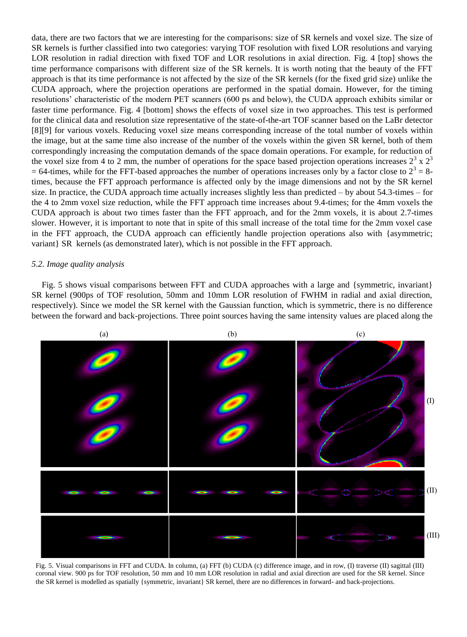data, there are two factors that we are interesting for the comparisons: size of SR kernels and voxel size. The size of SR kernels is further classified into two categories: varying TOF resolution with fixed LOR resolutions and varying LOR resolution in radial direction with fixed TOF and LOR resolutions in axial direction. Fig. 4 [top] shows the time performance comparisons with different size of the SR kernels. It is worth noting that the beauty of the FFT approach is that its time performance is not affected by the size of the SR kernels (for the fixed grid size) unlike the CUDA approach, where the projection operations are performed in the spatial domain. However, for the timing resolutions' characteristic of the modern PET scanners (600 ps and below), the CUDA approach exhibits similar or faster time performance. Fig. 4 [bottom] shows the effects of voxel size in two approaches. This test is performed for the clinical data and resolution size representative of the state-of-the-art TOF scanner based on the LaBr detector [8][9] for various voxels. Reducing voxel size means corresponding increase of the total number of voxels within the image, but at the same time also increase of the number of the voxels within the given SR kernel, both of them correspondingly increasing the computation demands of the space domain operations. For example, for reduction of the voxel size from 4 to 2 mm, the number of operations for the space based projection operations increases  $2^3 \times 2^3$  $= 64$ -times, while for the FFT-based approaches the number of operations increases only by a factor close to  $2<sup>3</sup> = 8$ times, because the FFT approach performance is affected only by the image dimensions and not by the SR kernel size. In practice, the CUDA approach time actually increases slightly less than predicted – by about 54.3-times – for the 4 to 2mm voxel size reduction, while the FFT approach time increases about 9.4-times; for the 4mm voxels the CUDA approach is about two times faster than the FFT approach, and for the 2mm voxels, it is about 2.7-times slower. However, it is important to note that in spite of this small increase of the total time for the 2mm voxel case in the FFT approach, the CUDA approach can efficiently handle projection operations also with {asymmetric; variant} SR kernels (as demonstrated later), which is not possible in the FFT approach.

# *5.2. Image quality analysis*

Fig. 5 shows visual comparisons between FFT and CUDA approaches with a large and {symmetric, invariant} SR kernel (900ps of TOF resolution, 50mm and 10mm LOR resolution of FWHM in radial and axial direction, respectively). Since we model the SR kernel with the Gaussian function, which is symmetric, there is no difference between the forward and back-projections. Three point sources having the same intensity values are placed along the



Fig. 5. Visual comparisons in FFT and CUDA. In column, (a) FFT (b) CUDA (c) difference image, and in row, (I) traverse (II) sagittal (III) coronal view. 900 ps for TOF resolution, 50 mm and 10 mm LOR resolution in radial and axial direction are used for the SR kernel. Since the SR kernel is modelled as spatially {symmetric, invariant} SR kernel, there are no differences in forward- and back-projections.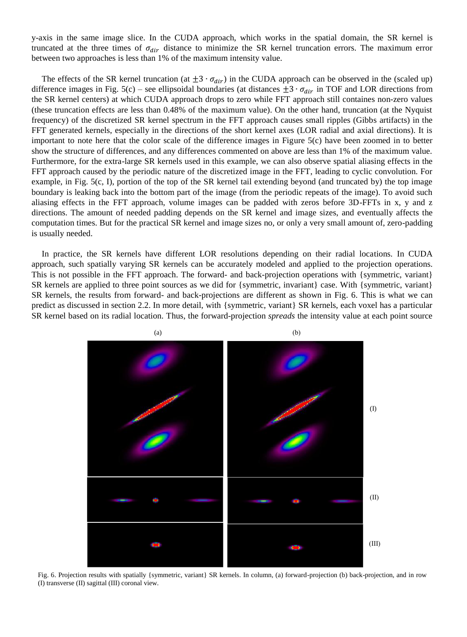y-axis in the same image slice. In the CUDA approach, which works in the spatial domain, the SR kernel is truncated at the three times of  $\sigma_{dir}$  distance to minimize the SR kernel truncation errors. The maximum error between two approaches is less than 1% of the maximum intensity value.

The effects of the SR kernel truncation (at  $\pm 3 \cdot \sigma_{dir}$ ) in the CUDA approach can be observed in the (scaled up) difference images in Fig. 5(c) – see ellipsoidal boundaries (at distances  $\pm 3 \cdot \sigma_{dir}$  in TOF and LOR directions from the SR kernel centers) at which CUDA approach drops to zero while FFT approach still containes non-zero values (these truncation effects are less than 0.48% of the maximum value). On the other hand, truncation (at the Nyquist frequency) of the discretized SR kernel spectrum in the FFT approach causes small ripples (Gibbs artifacts) in the FFT generated kernels, especially in the directions of the short kernel axes (LOR radial and axial directions). It is important to note here that the color scale of the difference images in Figure 5(c) have been zoomed in to better show the structure of differences, and any differences commented on above are less than 1% of the maximum value. Furthermore, for the extra-large SR kernels used in this example, we can also observe spatial aliasing effects in the FFT approach caused by the periodic nature of the discretized image in the FFT, leading to cyclic convolution. For example, in Fig. 5(c, I), portion of the top of the SR kernel tail extending beyond (and truncated by) the top image boundary is leaking back into the bottom part of the image (from the periodic repeats of the image). To avoid such aliasing effects in the FFT approach, volume images can be padded with zeros before 3D-FFTs in x, y and z directions. The amount of needed padding depends on the SR kernel and image sizes, and eventually affects the computation times. But for the practical SR kernel and image sizes no, or only a very small amount of, zero-padding is usually needed.

In practice, the SR kernels have different LOR resolutions depending on their radial locations. In CUDA approach, such spatially varying SR kernels can be accurately modeled and applied to the projection operations. This is not possible in the FFT approach. The forward- and back-projection operations with {symmetric, variant} SR kernels are applied to three point sources as we did for {symmetric, invariant} case. With {symmetric, variant} SR kernels, the results from forward- and back-projections are different as shown in Fig. 6. This is what we can predict as discussed in section 2.2. In more detail, with {symmetric, variant} SR kernels, each voxel has a particular SR kernel based on its radial location. Thus, the forward-projection *spreads* the intensity value at each point source



Fig. 6. Projection results with spatially {symmetric, variant} SR kernels. In column, (a) forward-projection (b) back-projection, and in row (I) transverse (II) sagittal (III) coronal view.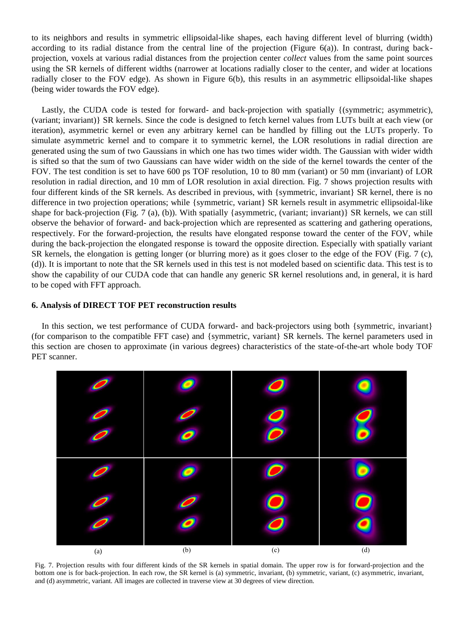to its neighbors and results in symmetric ellipsoidal-like shapes, each having different level of blurring (width) according to its radial distance from the central line of the projection (Figure 6(a)). In contrast, during backprojection, voxels at various radial distances from the projection center *collect* values from the same point sources using the SR kernels of different widths (narrower at locations radially closer to the center, and wider at locations radially closer to the FOV edge). As shown in Figure 6(b), this results in an asymmetric ellipsoidal-like shapes (being wider towards the FOV edge).

Lastly, the CUDA code is tested for forward- and back-projection with spatially {(symmetric; asymmetric), (variant; invariant)} SR kernels. Since the code is designed to fetch kernel values from LUTs built at each view (or iteration), asymmetric kernel or even any arbitrary kernel can be handled by filling out the LUTs properly. To simulate asymmetric kernel and to compare it to symmetric kernel, the LOR resolutions in radial direction are generated using the sum of two Gaussians in which one has two times wider width. The Gaussian with wider width is sifted so that the sum of two Gaussians can have wider width on the side of the kernel towards the center of the FOV. The test condition is set to have 600 ps TOF resolution, 10 to 80 mm (variant) or 50 mm (invariant) of LOR resolution in radial direction, and 10 mm of LOR resolution in axial direction. Fig. 7 shows projection results with four different kinds of the SR kernels. As described in previous, with {symmetric, invariant} SR kernel, there is no difference in two projection operations; while {symmetric, variant} SR kernels result in asymmetric ellipsoidal-like shape for back-projection (Fig. 7 (a), (b)). With spatially {asymmetric, (variant; invariant)} SR kernels, we can still observe the behavior of forward- and back-projection which are represented as scattering and gathering operations, respectively. For the forward-projection, the results have elongated response toward the center of the FOV, while during the back-projection the elongated response is toward the opposite direction. Especially with spatially variant SR kernels, the elongation is getting longer (or blurring more) as it goes closer to the edge of the FOV (Fig. 7 (c), (d)). It is important to note that the SR kernels used in this test is not modeled based on scientific data. This test is to show the capability of our CUDA code that can handle any generic SR kernel resolutions and, in general, it is hard to be coped with FFT approach.

# **6. Analysis of DIRECT TOF PET reconstruction results**

In this section, we test performance of CUDA forward- and back-projectors using both {symmetric, invariant} (for comparison to the compatible FFT case) and {symmetric, variant} SR kernels. The kernel parameters used in this section are chosen to approximate (in various degrees) characteristics of the state-of-the-art whole body TOF PET scanner.



Fig. 7. Projection results with four different kinds of the SR kernels in spatial domain. The upper row is for forward-projection and the bottom one is for back-projection. In each row, the SR kernel is (a) symmetric, invariant, (b) symmetric, variant, (c) asymmetric, invariant, and (d) asymmetric, variant. All images are collected in traverse view at 30 degrees of view direction.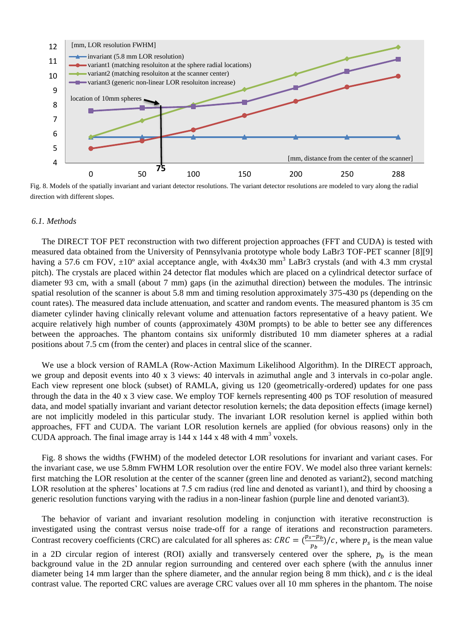

Fig. 8. Models of the spatially invariant and variant detector resolutions. The variant detector resolutions are modeled to vary along the radial direction with different slopes.

#### *6.1. Methods*

The DIRECT TOF PET reconstruction with two different projection approaches (FFT and CUDA) is tested with measured data obtained from the University of Pennsylvania prototype whole body LaBr3 TOF-PET scanner [8][9] having a 57.6 cm FOV,  $\pm 10^{\circ}$  axial acceptance angle, with 4x4x30 mm<sup>3</sup> LaBr3 crystals (and with 4.3 mm crystal pitch). The crystals are placed within 24 detector flat modules which are placed on a cylindrical detector surface of diameter 93 cm, with a small (about 7 mm) gaps (in the azimuthal direction) between the modules. The intrinsic spatial resolution of the scanner is about 5.8 mm and timing resolution approximately 375-430 ps (depending on the count rates). The measured data include attenuation, and scatter and random events. The measured phantom is 35 cm diameter cylinder having clinically relevant volume and attenuation factors representative of a heavy patient. We acquire relatively high number of counts (approximately 430M prompts) to be able to better see any differences between the approaches. The phantom contains six uniformly distributed 10 mm diameter spheres at a radial positions about 7.5 cm (from the center) and places in central slice of the scanner.

We use a block version of RAMLA (Row-Action Maximum Likelihood Algorithm). In the DIRECT approach, we group and deposit events into 40 x 3 views: 40 intervals in azimuthal angle and 3 intervals in co-polar angle. Each view represent one block (subset) of RAMLA, giving us 120 (geometrically-ordered) updates for one pass through the data in the 40 x 3 view case. We employ TOF kernels representing 400 ps TOF resolution of measured data, and model spatially invariant and variant detector resolution kernels; the data deposition effects (image kernel) are not implicitly modeled in this particular study. The invariant LOR resolution kernel is applied within both approaches, FFT and CUDA. The variant LOR resolution kernels are applied (for obvious reasons) only in the CUDA approach. The final image array is  $144 \times 144 \times 48$  with 4 mm<sup>3</sup> voxels.

Fig. 8 shows the widths (FWHM) of the modeled detector LOR resolutions for invariant and variant cases. For the invariant case, we use 5.8mm FWHM LOR resolution over the entire FOV. We model also three variant kernels: first matching the LOR resolution at the center of the scanner (green line and denoted as variant2), second matching LOR resolution at the spheres' locations at 7.5 cm radius (red line and denoted as variant1), and third by choosing a generic resolution functions varying with the radius in a non-linear fashion (purple line and denoted variant3).

The behavior of variant and invariant resolution modeling in conjunction with iterative reconstruction is investigated using the contrast versus noise trade-off for a range of iterations and reconstruction parameters. Contrast recovery coefficients (CRC) are calculated for all spheres as:  $CRC = (\frac{p}{r})$  $\frac{(p-\mu_b)}{p_b}$ /c, where  $p_s$  is the mean value in a 2D circular region of interest (ROI) axially and transversely centered over the sphere,  $p<sub>b</sub>$  is the mean background value in the 2D annular region surrounding and centered over each sphere (with the annulus inner diameter being 14 mm larger than the sphere diameter, and the annular region being 8 mm thick), and  $c$  is the ideal contrast value. The reported CRC values are average CRC values over all 10 mm spheres in the phantom. The noise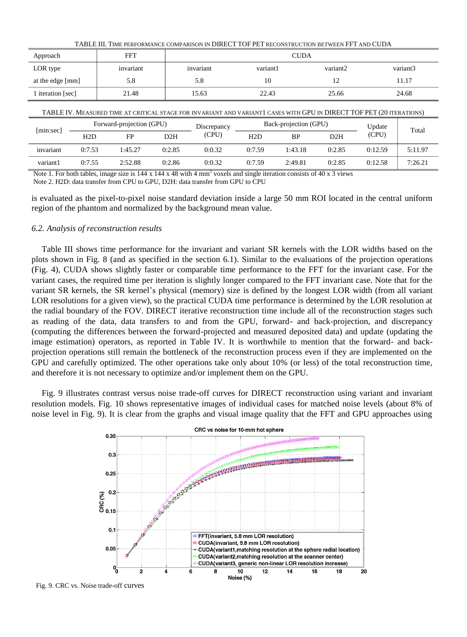| TABLE III. TIME PERFORMANCE COMPARISON IN DIRECT TOF PET RECONSTRUCTION BETWEEN FFT AND CUDA |           |             |          |          |          |  |  |
|----------------------------------------------------------------------------------------------|-----------|-------------|----------|----------|----------|--|--|
| Approach                                                                                     | FFT       | <b>CUDA</b> |          |          |          |  |  |
| LOR type                                                                                     | invariant | invariant   | variant1 | variant2 | variant3 |  |  |
| at the edge [mm]                                                                             | 5.8       | 5.8         | 10       | 12       | 11.17    |  |  |
| 1 iteration [sec]                                                                            | 21.48     | 15.63       | 22.43    | 25.66    | 24.68    |  |  |
|                                                                                              |           |             |          |          |          |  |  |

| TABLE IV. MEASURED TIME AT CRITICAL STAGE FOR INVARIANT AND VARIANT1 CASES WITH GPU IN DIRECT TOF PET (20 ITERATIONS) |                          |         |             |                       |        |           |        |         |         |
|-----------------------------------------------------------------------------------------------------------------------|--------------------------|---------|-------------|-----------------------|--------|-----------|--------|---------|---------|
| [min:sec]                                                                                                             | Forward-projection (GPU) |         | Discrepancy | Back-projection (GPU) |        |           | Update | Total   |         |
|                                                                                                                       | H2D                      | FP      | D2H         | (CPU)                 | H2D    | <b>BP</b> | D2H    | (CPU)   |         |
| invariant                                                                                                             | 0:7.53                   | 1:45.27 | 0:2.85      | 0:0.32                | 0:7.59 | 1:43.18   | 0:2.85 | 0:12.59 | 5:11.97 |
| variant1                                                                                                              | 0:7.55                   | 2:52.88 | 0:2.86      | 0:0.32                | 0:7.59 | 2:49.81   | 0:2.85 | 0:12.58 | 7:26.21 |

Note 1. For both tables, image size is  $144 \times 144 \times 48$  with 4 mm<sup>3</sup> voxels and single iteration consists of 40 x 3 views

Note 2. H2D: data transfer from CPU to GPU, D2H: data transfer from GPU to CPU

is evaluated as the pixel-to-pixel noise standard deviation inside a large 50 mm ROI located in the central uniform region of the phantom and normalized by the background mean value.

# *6.2. Analysis of reconstruction results*

Table III shows time performance for the invariant and variant SR kernels with the LOR widths based on the plots shown in Fig. 8 (and as specified in the section 6.1). Similar to the evaluations of the projection operations (Fig. 4), CUDA shows slightly faster or comparable time performance to the FFT for the invariant case. For the variant cases, the required time per iteration is slightly longer compared to the FFT invariant case. Note that for the variant SR kernels, the SR kernel's physical (memory) size is defined by the longest LOR width (from all variant LOR resolutions for a given view), so the practical CUDA time performance is determined by the LOR resolution at the radial boundary of the FOV. DIRECT iterative reconstruction time include all of the reconstruction stages such as reading of the data, data transfers to and from the GPU, forward- and back-projection, and discrepancy (computing the differences between the forward-projected and measured deposited data) and update (updating the image estimation) operators, as reported in Table IV. It is worthwhile to mention that the forward- and backprojection operations still remain the bottleneck of the reconstruction process even if they are implemented on the GPU and carefully optimized. The other operations take only about 10% (or less) of the total reconstruction time, and therefore it is not necessary to optimize and/or implement them on the GPU.

Fig. 9 illustrates contrast versus noise trade-off curves for DIRECT reconstruction using variant and invariant resolution models. Fig. 10 shows representative images of individual cases for matched noise levels (about 8% of noise level in Fig. 9). It is clear from the graphs and visual image quality that the FFT and GPU approaches using



Fig. 9. CRC vs. Noise trade-off curves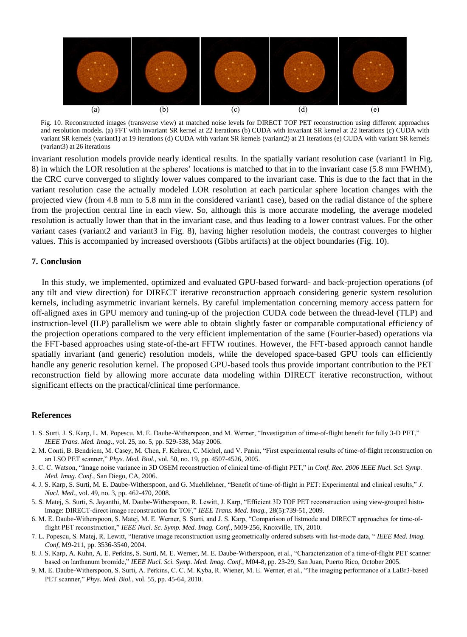

Fig. 10. Reconstructed images (transverse view) at matched noise levels for DIRECT TOF PET reconstruction using different approaches and resolution models. (a) FFT with invariant SR kernel at 22 iterations (b) CUDA with invariant SR kernel at 22 iterations (c) CUDA with variant SR kernels (variant1) at 19 iterations (d) CUDA with variant SR kernels (variant2) at 21 iterations (e) CUDA with variant SR kernels (variant3) at 26 iterations

invariant resolution models provide nearly identical results. In the spatially variant resolution case (variant1 in Fig. 8) in which the LOR resolution at the spheres' locations is matched to that in to the invariant case (5.8 mm FWHM), the CRC curve converged to slightly lower values compared to the invariant case. This is due to the fact that in the variant resolution case the actually modeled LOR resolution at each particular sphere location changes with the projected view (from 4.8 mm to 5.8 mm in the considered variant1 case), based on the radial distance of the sphere from the projection central line in each view. So, although this is more accurate modeling, the average modeled resolution is actually lower than that in the invariant case, and thus leading to a lower contrast values. For the other variant cases (variant2 and variant3 in Fig. 8), having higher resolution models, the contrast converges to higher values. This is accompanied by increased overshoots (Gibbs artifacts) at the object boundaries (Fig. 10).

### **7. Conclusion**

In this study, we implemented, optimized and evaluated GPU-based forward- and back-projection operations (of any tilt and view direction) for DIRECT iterative reconstruction approach considering generic system resolution kernels, including asymmetric invariant kernels. By careful implementation concerning memory access pattern for off-aligned axes in GPU memory and tuning-up of the projection CUDA code between the thread-level (TLP) and instruction-level (ILP) parallelism we were able to obtain slightly faster or comparable computational efficiency of the projection operations compared to the very efficient implementation of the same (Fourier-based) operations via the FFT-based approaches using state-of-the-art FFTW routines. However, the FFT-based approach cannot handle spatially invariant (and generic) resolution models, while the developed space-based GPU tools can efficiently handle any generic resolution kernel. The proposed GPU-based tools thus provide important contribution to the PET reconstruction field by allowing more accurate data modeling within DIRECT iterative reconstruction, without significant effects on the practical/clinical time performance.

#### **References**

- 1. S. Surti, J. S. Karp, L. M. Popescu, M. E. Daube-Witherspoon, and M. Werner, "Investigation of time-of-flight benefit for fully 3-D PET," *IEEE Trans. Med. Imag.*, vol. 25, no. 5, pp. 529-538, May 2006.
- 2. M. Conti, B. Bendriem, M. Casey, M. Chen, F. Kehren, C. Michel, and V. Panin, "First experimental results of time-of-flight reconstruction on an LSO PET scanner," *Phys. Med. Biol.*, vol. 50, no. 19, pp. 4507-4526, 2005.
- 3. C. C. Watson, "Image noise variance in 3D OSEM reconstruction of clinical time-of-flight PET," in *Conf. Rec. 2006 IEEE Nucl. Sci. Symp. Med. Imag. Conf.*, San Diego, CA, 2006.
- 4. J. S. Karp, S. Surti, M. E. Daube-Witherspoon, and G. Muehllehner, "Benefit of time-of-flight in PET: Experimental and clinical results," *J. Nucl. Med.*, vol. 49, no. 3, pp. 462-470, 2008.
- 5. S. Matej, S. Surti, S. Jayanthi, M. Daube-Witherspoon, R. Lewitt, J. Karp, "Efficient 3D TOF PET reconstruction using view-grouped histoimage: DIRECT-direct image reconstruction for TOF," *IEEE Trans. Med. Imag.*, 28(5):739-51, 2009.
- 6. M. E. Daube-Witherspoon, S. Matej, M. E. Werner, S. Surti, and J. S. Karp, "Comparison of listmode and DIRECT approaches for time-offlight PET reconstruction," *IEEE Nucl. Sc. Symp. Med. Imag. Conf.*, M09-256, Knoxville, TN, 2010.
- 7. L. Popescu, S. Matej, R. Lewitt, "Iterative image reconstruction using geometrically ordered subsets with list-mode data, " *IEEE Med. Imag. Conf*, M9-211, pp. 3536-3540, 2004.
- 8. J. S. Karp, A. Kuhn, A. E. Perkins, S. Surti, M. E. Werner, M. E. Daube-Witherspoon, et al., "Characterization of a time-of-flight PET scanner based on lanthanum bromide," *IEEE Nucl. Sci. Symp. Med. Imag. Conf.*, M04-8, pp. 23-29, San Juan, Puerto Rico, October 2005.
- 9. M. E. Daube-Witherspoon, S. Surti, A. Perkins, C. C. M. Kyba, R. Wiener, M. E. Werner, et al., "The imaging performance of a LaBr3-based PET scanner," *Phys. Med. Biol.*, vol. 55, pp. 45-64, 2010.